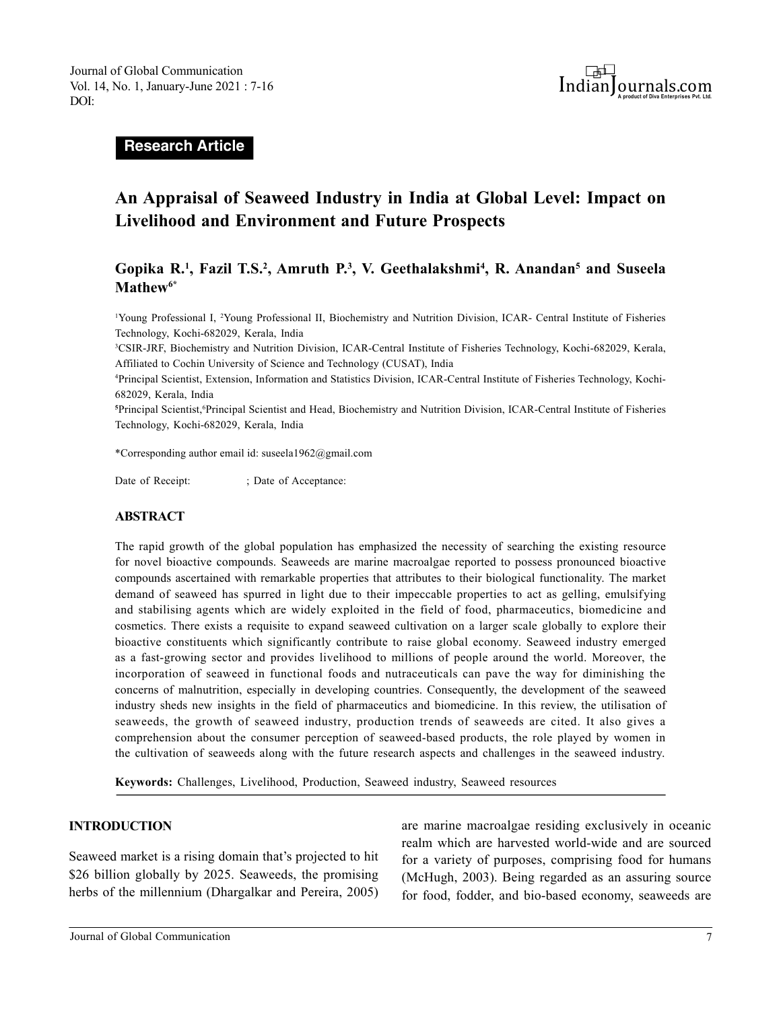

**Research Article**

# **An Appraisal of Seaweed Industry in India at Global Level: Impact on Livelihood and Environment and Future Prospects**

# **Gopika R.<sup>1</sup> , Fazil T.S.<sup>2</sup> , Amruth P.<sup>3</sup> , V. Geethalakshmi<sup>4</sup> , R. Anandan<sup>5</sup> and Suseela Mathew6\***

<sup>1</sup>Young Professional I, <sup>2</sup>Young Professional II, Biochemistry and Nutrition Division, ICAR- Central Institute of Fisheries Technology, Kochi-682029, Kerala, India

<sup>3</sup>CSIR-JRF, Biochemistry and Nutrition Division, ICAR-Central Institute of Fisheries Technology, Kochi-682029, Kerala, Affiliated to Cochin University of Science and Technology (CUSAT), India

4Principal Scientist, Extension, Information and Statistics Division, ICAR-Central Institute of Fisheries Technology, Kochi-682029, Kerala, India

**<sup>5</sup>**Principal Scientist,<sup>6</sup>Principal Scientist and Head, Biochemistry and Nutrition Division, ICAR-Central Institute of Fisheries Technology, Kochi-682029, Kerala, India

\*Corresponding author email id: suseela1962@gmail.com

Date of Receipt:  $\qquad \qquad ;$  Date of Acceptance:

#### **ABSTRACT**

The rapid growth of the global population has emphasized the necessity of searching the existing resource for novel bioactive compounds. Seaweeds are marine macroalgae reported to possess pronounced bioactive compounds ascertained with remarkable properties that attributes to their biological functionality. The market demand of seaweed has spurred in light due to their impeccable properties to act as gelling, emulsifying and stabilising agents which are widely exploited in the field of food, pharmaceutics, biomedicine and cosmetics. There exists a requisite to expand seaweed cultivation on a larger scale globally to explore their bioactive constituents which significantly contribute to raise global economy. Seaweed industry emerged as a fast-growing sector and provides livelihood to millions of people around the world. Moreover, the incorporation of seaweed in functional foods and nutraceuticals can pave the way for diminishing the concerns of malnutrition, especially in developing countries. Consequently, the development of the seaweed industry sheds new insights in the field of pharmaceutics and biomedicine. In this review, the utilisation of seaweeds, the growth of seaweed industry, production trends of seaweeds are cited. It also gives a comprehension about the consumer perception of seaweed-based products, the role played by women in the cultivation of seaweeds along with the future research aspects and challenges in the seaweed industry.

**Keywords:** Challenges, Livelihood, Production, Seaweed industry, Seaweed resources

#### **INTRODUCTION**

Seaweed market is a rising domain that's projected to hit \$26 billion globally by 2025. Seaweeds, the promising herbs of the millennium (Dhargalkar and Pereira, 2005) are marine macroalgae residing exclusively in oceanic realm which are harvested world-wide and are sourced for a variety of purposes, comprising food for humans (McHugh, 2003). Being regarded as an assuring source for food, fodder, and bio-based economy, seaweeds are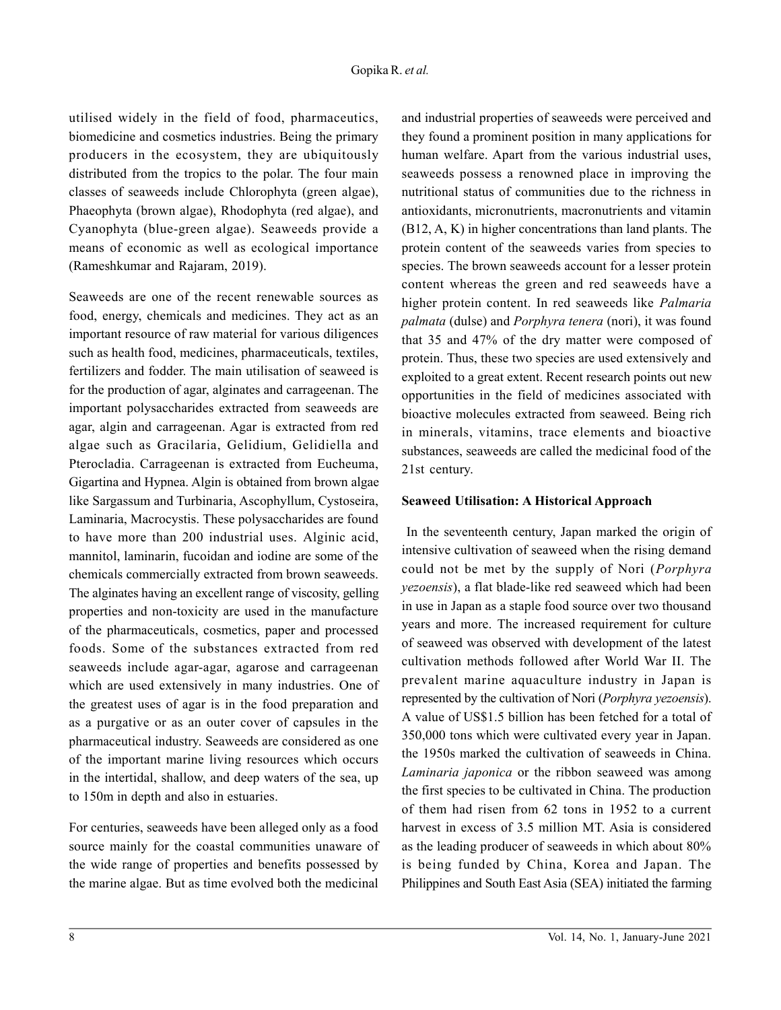utilised widely in the field of food, pharmaceutics, biomedicine and cosmetics industries. Being the primary producers in the ecosystem, they are ubiquitously distributed from the tropics to the polar. The four main classes of seaweeds include Chlorophyta (green algae), Phaeophyta (brown algae), Rhodophyta (red algae), and Cyanophyta (blue-green algae). Seaweeds provide a means of economic as well as ecological importance (Rameshkumar and Rajaram, 2019).

Seaweeds are one of the recent renewable sources as food, energy, chemicals and medicines. They act as an important resource of raw material for various diligences such as health food, medicines, pharmaceuticals, textiles, fertilizers and fodder. The main utilisation of seaweed is for the production of agar, alginates and carrageenan. The important polysaccharides extracted from seaweeds are agar, algin and carrageenan. Agar is extracted from red algae such as Gracilaria, Gelidium, Gelidiella and Pterocladia. Carrageenan is extracted from Eucheuma, Gigartina and Hypnea. Algin is obtained from brown algae like Sargassum and Turbinaria, Ascophyllum, Cystoseira, Laminaria, Macrocystis. These polysaccharides are found to have more than 200 industrial uses. Alginic acid, mannitol, laminarin, fucoidan and iodine are some of the chemicals commercially extracted from brown seaweeds. The alginates having an excellent range of viscosity, gelling properties and non-toxicity are used in the manufacture of the pharmaceuticals, cosmetics, paper and processed foods. Some of the substances extracted from red seaweeds include agar-agar, agarose and carrageenan which are used extensively in many industries. One of the greatest uses of agar is in the food preparation and as a purgative or as an outer cover of capsules in the pharmaceutical industry. Seaweeds are considered as one of the important marine living resources which occurs in the intertidal, shallow, and deep waters of the sea, up to 150m in depth and also in estuaries.

For centuries, seaweeds have been alleged only as a food source mainly for the coastal communities unaware of the wide range of properties and benefits possessed by the marine algae. But as time evolved both the medicinal

and industrial properties of seaweeds were perceived and they found a prominent position in many applications for human welfare. Apart from the various industrial uses, seaweeds possess a renowned place in improving the nutritional status of communities due to the richness in antioxidants, micronutrients, macronutrients and vitamin (B12, A, K) in higher concentrations than land plants. The protein content of the seaweeds varies from species to species. The brown seaweeds account for a lesser protein content whereas the green and red seaweeds have a higher protein content. In red seaweeds like *Palmaria palmata* (dulse) and *Porphyra tenera* (nori), it was found that 35 and 47% of the dry matter were composed of protein. Thus, these two species are used extensively and exploited to a great extent. Recent research points out new opportunities in the field of medicines associated with bioactive molecules extracted from seaweed. Being rich in minerals, vitamins, trace elements and bioactive substances, seaweeds are called the medicinal food of the 21st century.

#### **Seaweed Utilisation: A Historical Approach**

 In the seventeenth century, Japan marked the origin of intensive cultivation of seaweed when the rising demand could not be met by the supply of Nori (*Porphyra yezoensis*), a flat blade-like red seaweed which had been in use in Japan as a staple food source over two thousand years and more. The increased requirement for culture of seaweed was observed with development of the latest cultivation methods followed after World War II. The prevalent marine aquaculture industry in Japan is represented by the cultivation of Nori (*Porphyra yezoensis*). A value of US\$1.5 billion has been fetched for a total of 350,000 tons which were cultivated every year in Japan. the 1950s marked the cultivation of seaweeds in China. *Laminaria japonica* or the ribbon seaweed was among the first species to be cultivated in China. The production of them had risen from 62 tons in 1952 to a current harvest in excess of 3.5 million MT. Asia is considered as the leading producer of seaweeds in which about 80% is being funded by China, Korea and Japan. The Philippines and South East Asia (SEA) initiated the farming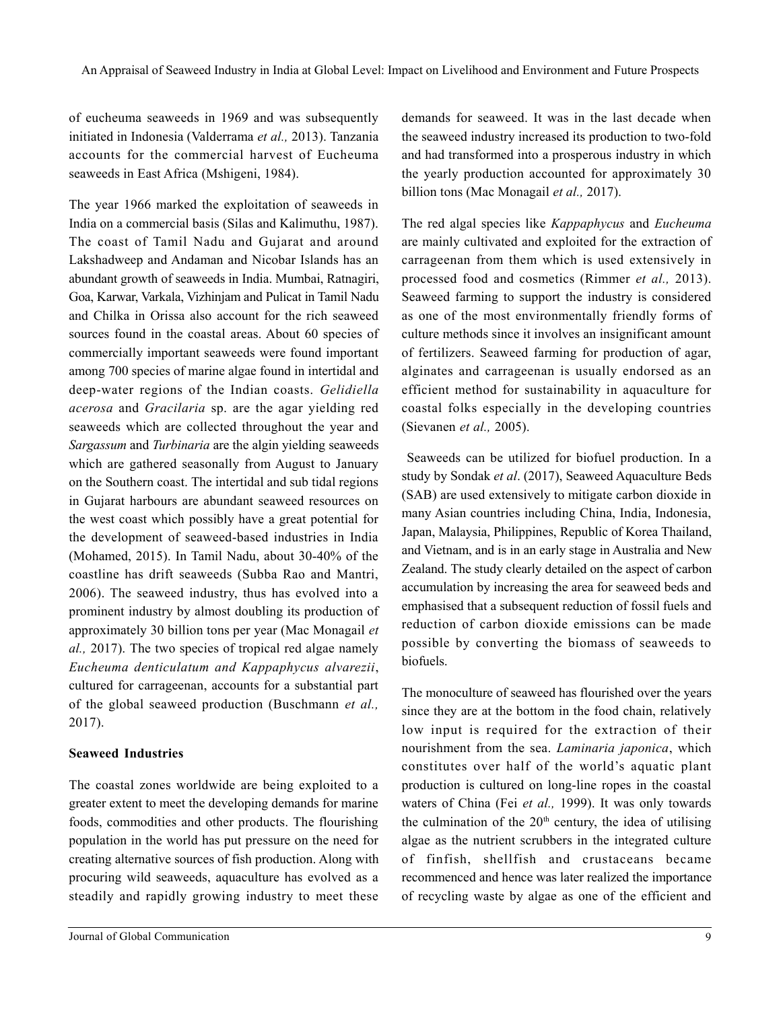of eucheuma seaweeds in 1969 and was subsequently initiated in Indonesia (Valderrama *et al.,* 2013). Tanzania accounts for the commercial harvest of Eucheuma seaweeds in East Africa (Mshigeni, 1984).

The year 1966 marked the exploitation of seaweeds in India on a commercial basis (Silas and Kalimuthu, 1987). The coast of Tamil Nadu and Gujarat and around Lakshadweep and Andaman and Nicobar Islands has an abundant growth of seaweeds in India. Mumbai, Ratnagiri, Goa, Karwar, Varkala, Vizhinjam and Pulicat in Tamil Nadu and Chilka in Orissa also account for the rich seaweed sources found in the coastal areas. About 60 species of commercially important seaweeds were found important among 700 species of marine algae found in intertidal and deep-water regions of the Indian coasts. *Gelidiella acerosa* and *Gracilaria* sp. are the agar yielding red seaweeds which are collected throughout the year and *Sargassum* and *Turbinaria* are the algin yielding seaweeds which are gathered seasonally from August to January on the Southern coast. The intertidal and sub tidal regions in Gujarat harbours are abundant seaweed resources on the west coast which possibly have a great potential for the development of seaweed-based industries in India (Mohamed, 2015). In Tamil Nadu, about 30-40% of the coastline has drift seaweeds (Subba Rao and Mantri, 2006). The seaweed industry, thus has evolved into a prominent industry by almost doubling its production of approximately 30 billion tons per year (Mac Monagail *et al.,* 2017). The two species of tropical red algae namely *Eucheuma denticulatum and Kappaphycus alvarezii*, cultured for carrageenan, accounts for a substantial part of the global seaweed production (Buschmann *et al.,* 2017).

#### **Seaweed Industries**

The coastal zones worldwide are being exploited to a greater extent to meet the developing demands for marine foods, commodities and other products. The flourishing population in the world has put pressure on the need for creating alternative sources of fish production. Along with procuring wild seaweeds, aquaculture has evolved as a steadily and rapidly growing industry to meet these

demands for seaweed. It was in the last decade when the seaweed industry increased its production to two-fold and had transformed into a prosperous industry in which the yearly production accounted for approximately 30 billion tons (Mac Monagail *et al.,* 2017).

The red algal species like *Kappaphycus* and *Eucheuma* are mainly cultivated and exploited for the extraction of carrageenan from them which is used extensively in processed food and cosmetics (Rimmer *et al.,* 2013). Seaweed farming to support the industry is considered as one of the most environmentally friendly forms of culture methods since it involves an insignificant amount of fertilizers. Seaweed farming for production of agar, alginates and carrageenan is usually endorsed as an efficient method for sustainability in aquaculture for coastal folks especially in the developing countries (Sievanen *et al.,* 2005).

 Seaweeds can be utilized for biofuel production. In a study by Sondak *et al*. (2017), Seaweed Aquaculture Beds (SAB) are used extensively to mitigate carbon dioxide in many Asian countries including China, India, Indonesia, Japan, Malaysia, Philippines, Republic of Korea Thailand, and Vietnam, and is in an early stage in Australia and New Zealand. The study clearly detailed on the aspect of carbon accumulation by increasing the area for seaweed beds and emphasised that a subsequent reduction of fossil fuels and reduction of carbon dioxide emissions can be made possible by converting the biomass of seaweeds to biofuels.

The monoculture of seaweed has flourished over the years since they are at the bottom in the food chain, relatively low input is required for the extraction of their nourishment from the sea. *Laminaria japonica*, which constitutes over half of the world's aquatic plant production is cultured on long-line ropes in the coastal waters of China (Fei *et al.,* 1999). It was only towards the culmination of the  $20<sup>th</sup>$  century, the idea of utilising algae as the nutrient scrubbers in the integrated culture of finfish, shellfish and crustaceans became recommenced and hence was later realized the importance of recycling waste by algae as one of the efficient and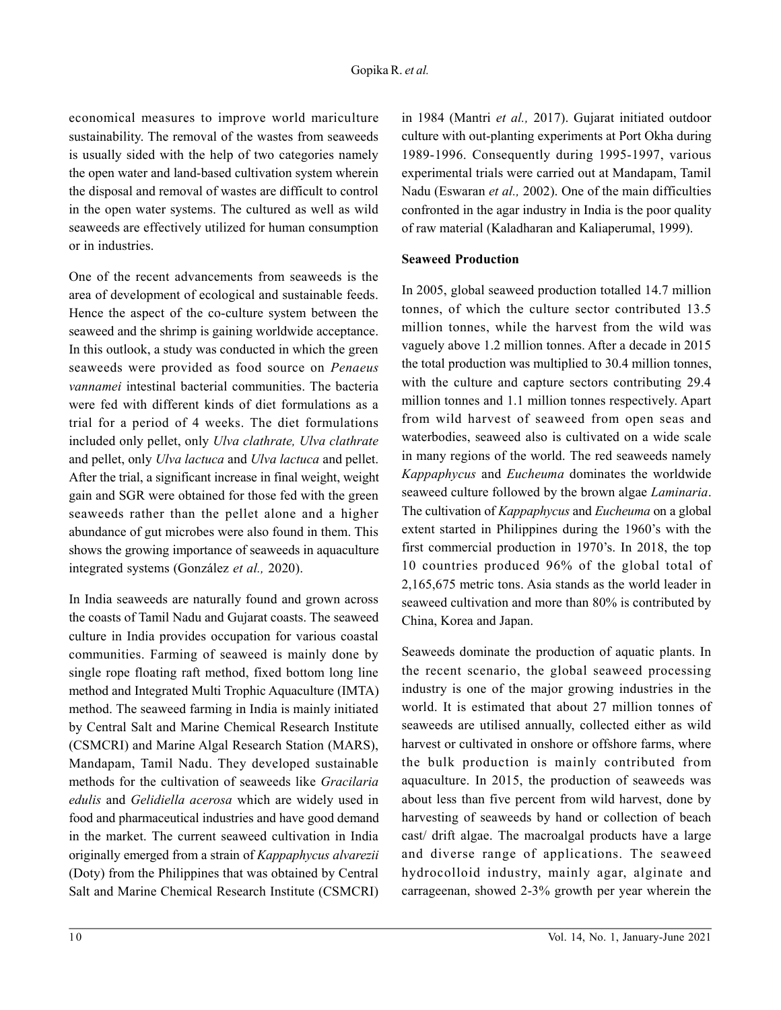economical measures to improve world mariculture sustainability. The removal of the wastes from seaweeds is usually sided with the help of two categories namely the open water and land-based cultivation system wherein the disposal and removal of wastes are difficult to control in the open water systems. The cultured as well as wild seaweeds are effectively utilized for human consumption or in industries.

One of the recent advancements from seaweeds is the area of development of ecological and sustainable feeds. Hence the aspect of the co-culture system between the seaweed and the shrimp is gaining worldwide acceptance. In this outlook, a study was conducted in which the green seaweeds were provided as food source on *Penaeus vannamei* intestinal bacterial communities. The bacteria were fed with different kinds of diet formulations as a trial for a period of 4 weeks. The diet formulations included only pellet, only *Ulva clathrate, Ulva clathrate* and pellet, only *Ulva lactuca* and *Ulva lactuca* and pellet. After the trial, a significant increase in final weight, weight gain and SGR were obtained for those fed with the green seaweeds rather than the pellet alone and a higher abundance of gut microbes were also found in them. This shows the growing importance of seaweeds in aquaculture integrated systems (González *et al.,* 2020).

In India seaweeds are naturally found and grown across the coasts of Tamil Nadu and Gujarat coasts. The seaweed culture in India provides occupation for various coastal communities. Farming of seaweed is mainly done by single rope floating raft method, fixed bottom long line method and Integrated Multi Trophic Aquaculture (IMTA) method. The seaweed farming in India is mainly initiated by Central Salt and Marine Chemical Research Institute (CSMCRI) and Marine Algal Research Station (MARS), Mandapam, Tamil Nadu. They developed sustainable methods for the cultivation of seaweeds like *Gracilaria edulis* and *Gelidiella acerosa* which are widely used in food and pharmaceutical industries and have good demand in the market. The current seaweed cultivation in India originally emerged from a strain of *Kappaphycus alvarezii* (Doty) from the Philippines that was obtained by Central Salt and Marine Chemical Research Institute (CSMCRI)

in 1984 (Mantri *et al.,* 2017). Gujarat initiated outdoor culture with out-planting experiments at Port Okha during 1989-1996. Consequently during 1995-1997, various experimental trials were carried out at Mandapam, Tamil Nadu (Eswaran *et al.,* 2002). One of the main difficulties confronted in the agar industry in India is the poor quality of raw material (Kaladharan and Kaliaperumal, 1999).

#### **Seaweed Production**

In 2005, global seaweed production totalled 14.7 million tonnes, of which the culture sector contributed 13.5 million tonnes, while the harvest from the wild was vaguely above 1.2 million tonnes. After a decade in 2015 the total production was multiplied to 30.4 million tonnes, with the culture and capture sectors contributing 29.4 million tonnes and 1.1 million tonnes respectively. Apart from wild harvest of seaweed from open seas and waterbodies, seaweed also is cultivated on a wide scale in many regions of the world. The red seaweeds namely *Kappaphycus* and *Eucheuma* dominates the worldwide seaweed culture followed by the brown algae *Laminaria*. The cultivation of *Kappaphycus* and *Eucheuma* on a global extent started in Philippines during the 1960's with the first commercial production in 1970's. In 2018, the top 10 countries produced 96% of the global total of 2,165,675 metric tons. Asia stands as the world leader in seaweed cultivation and more than 80% is contributed by China, Korea and Japan.

Seaweeds dominate the production of aquatic plants. In the recent scenario, the global seaweed processing industry is one of the major growing industries in the world. It is estimated that about 27 million tonnes of seaweeds are utilised annually, collected either as wild harvest or cultivated in onshore or offshore farms, where the bulk production is mainly contributed from aquaculture. In 2015, the production of seaweeds was about less than five percent from wild harvest, done by harvesting of seaweeds by hand or collection of beach cast/ drift algae. The macroalgal products have a large and diverse range of applications. The seaweed hydrocolloid industry, mainly agar, alginate and carrageenan, showed 2-3% growth per year wherein the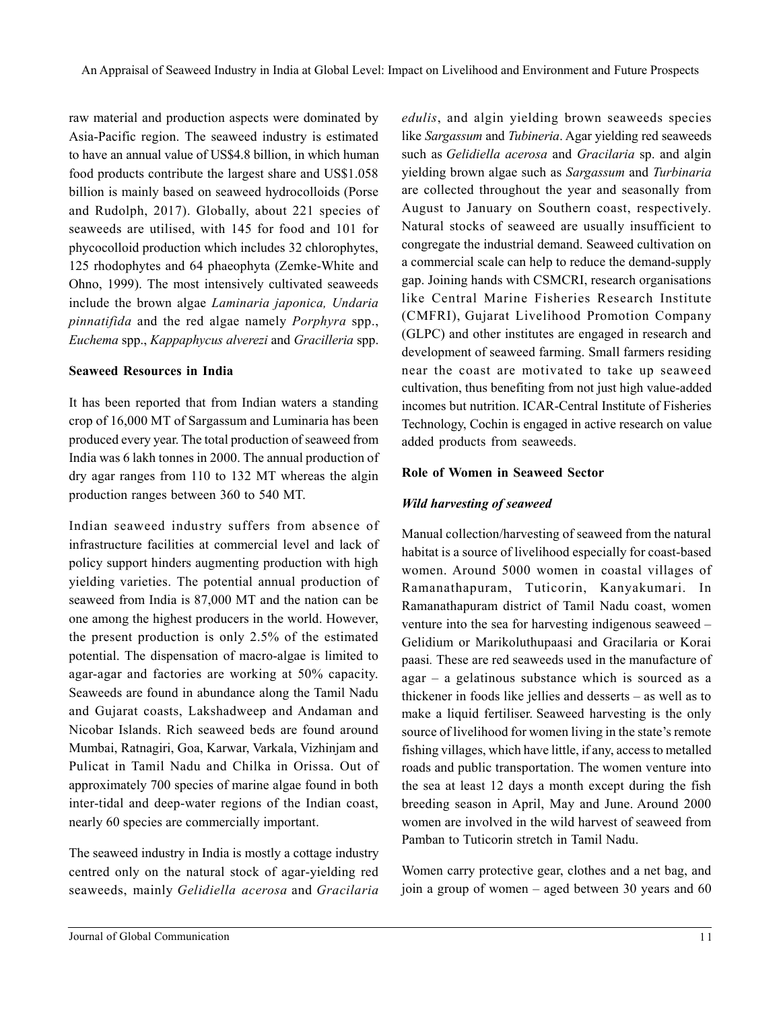raw material and production aspects were dominated by Asia-Pacific region. The seaweed industry is estimated to have an annual value of US\$4.8 billion, in which human food products contribute the largest share and US\$1.058 billion is mainly based on seaweed hydrocolloids (Porse and Rudolph, 2017). Globally, about 221 species of seaweeds are utilised, with 145 for food and 101 for phycocolloid production which includes 32 chlorophytes, 125 rhodophytes and 64 phaeophyta (Zemke-White and Ohno, 1999). The most intensively cultivated seaweeds include the brown algae *Laminaria japonica, Undaria pinnatifida* and the red algae namely *Porphyra* spp., *Euchema* spp., *Kappaphycus alverezi* and *Gracilleria* spp.

### **Seaweed Resources in India**

It has been reported that from Indian waters a standing crop of 16,000 MT of Sargassum and Luminaria has been produced every year. The total production of seaweed from India was 6 lakh tonnes in 2000. The annual production of dry agar ranges from 110 to 132 MT whereas the algin production ranges between 360 to 540 MT.

Indian seaweed industry suffers from absence of infrastructure facilities at commercial level and lack of policy support hinders augmenting production with high yielding varieties. The potential annual production of seaweed from India is 87,000 MT and the nation can be one among the highest producers in the world. However, the present production is only 2.5% of the estimated potential. The dispensation of macro-algae is limited to agar-agar and factories are working at 50% capacity. Seaweeds are found in abundance along the Tamil Nadu and Gujarat coasts, Lakshadweep and Andaman and Nicobar Islands. Rich seaweed beds are found around Mumbai, Ratnagiri, Goa, Karwar, Varkala, Vizhinjam and Pulicat in Tamil Nadu and Chilka in Orissa. Out of approximately 700 species of marine algae found in both inter-tidal and deep-water regions of the Indian coast, nearly 60 species are commercially important.

The seaweed industry in India is mostly a cottage industry centred only on the natural stock of agar-yielding red seaweeds, mainly *Gelidiella acerosa* and *Gracilaria* *edulis*, and algin yielding brown seaweeds species like *Sargassum* and *Tubineria*. Agar yielding red seaweeds such as *Gelidiella acerosa* and *Gracilaria* sp. and algin yielding brown algae such as *Sargassum* and *Turbinaria* are collected throughout the year and seasonally from August to January on Southern coast, respectively. Natural stocks of seaweed are usually insufficient to congregate the industrial demand. Seaweed cultivation on a commercial scale can help to reduce the demand-supply gap. Joining hands with CSMCRI, research organisations like Central Marine Fisheries Research Institute (CMFRI), Gujarat Livelihood Promotion Company (GLPC) and other institutes are engaged in research and development of seaweed farming. Small farmers residing near the coast are motivated to take up seaweed cultivation, thus benefiting from not just high value-added incomes but nutrition. ICAR-Central Institute of Fisheries Technology, Cochin is engaged in active research on value added products from seaweeds.

### **Role of Women in Seaweed Sector**

## *Wild harvesting of seaweed*

Manual collection/harvesting of seaweed from the natural habitat is a source of livelihood especially for coast-based women. Around 5000 women in coastal villages of Ramanathapuram, Tuticorin, Kanyakumari. In Ramanathapuram district of Tamil Nadu coast, women venture into the sea for harvesting indigenous seaweed – Gelidium or Marikoluthupaasi and Gracilaria or Korai paasi*.* These are red seaweeds used in the manufacture of agar – a gelatinous substance which is sourced as a thickener in foods like jellies and desserts – as well as to make a liquid fertiliser. Seaweed harvesting is the only source of livelihood for women living in the state's remote fishing villages, which have little, if any, access to metalled roads and public transportation. The women venture into the sea at least 12 days a month except during the fish breeding season in April, May and June. Around 2000 women are involved in the wild harvest of seaweed from Pamban to Tuticorin stretch in Tamil Nadu.

Women carry protective gear, clothes and a net bag, and join a group of women – aged between 30 years and 60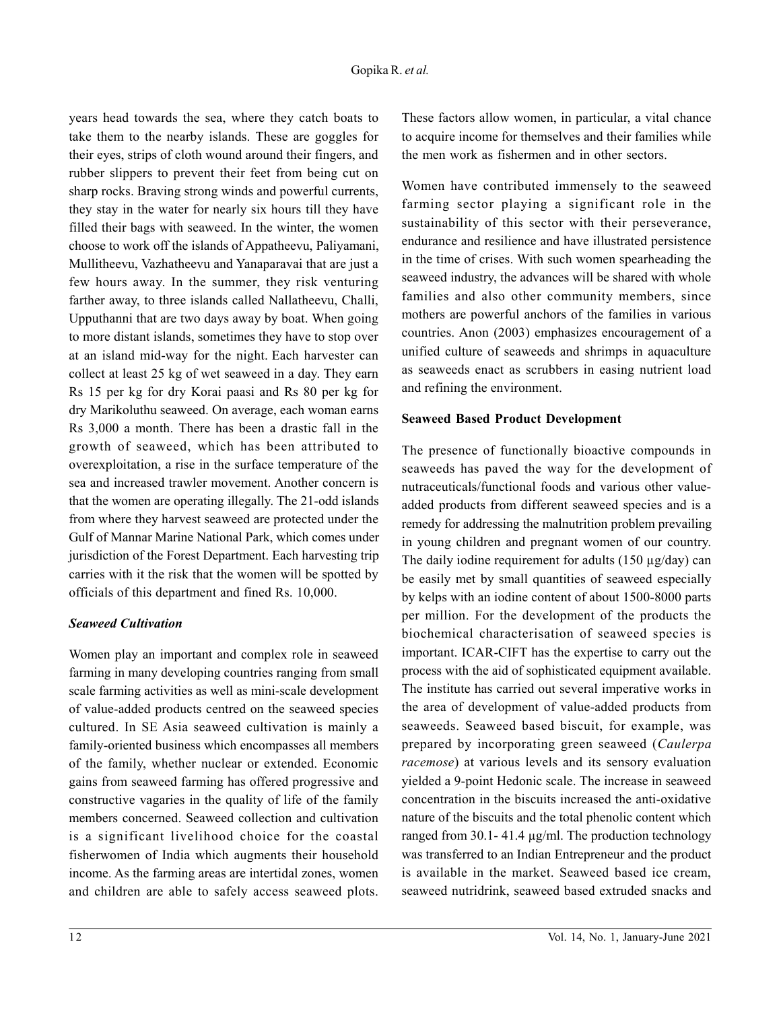years head towards the sea, where they catch boats to take them to the nearby islands. These are goggles for their eyes, strips of cloth wound around their fingers, and rubber slippers to prevent their feet from being cut on sharp rocks. Braving strong winds and powerful currents, they stay in the water for nearly six hours till they have filled their bags with seaweed. In the winter, the women choose to work off the islands of Appatheevu, Paliyamani, Mullitheevu, Vazhatheevu and Yanaparavai that are just a few hours away. In the summer, they risk venturing farther away, to three islands called Nallatheevu, Challi, Upputhanni that are two days away by boat. When going to more distant islands, sometimes they have to stop over at an island mid-way for the night. Each harvester can collect at least 25 kg of wet seaweed in a day. They earn Rs 15 per kg for dry Korai paasi and Rs 80 per kg for dry Marikoluthu seaweed. On average, each woman earns Rs 3,000 a month. There has been a drastic fall in the growth of seaweed, which has been attributed to overexploitation, a rise in the surface temperature of the sea and increased trawler movement. Another concern is that the women are operating illegally. The 21-odd islands from where they harvest seaweed are protected under the Gulf of Mannar Marine National Park, which comes under jurisdiction of the Forest Department. Each harvesting trip carries with it the risk that the women will be spotted by officials of this department and fined Rs. 10,000.

#### *Seaweed Cultivation*

Women play an important and complex role in seaweed farming in many developing countries ranging from small scale farming activities as well as mini-scale development of value-added products centred on the seaweed species cultured. In SE Asia seaweed cultivation is mainly a family-oriented business which encompasses all members of the family, whether nuclear or extended. Economic gains from seaweed farming has offered progressive and constructive vagaries in the quality of life of the family members concerned. Seaweed collection and cultivation is a significant livelihood choice for the coastal fisherwomen of India which augments their household income. As the farming areas are intertidal zones, women and children are able to safely access seaweed plots. These factors allow women, in particular, a vital chance to acquire income for themselves and their families while the men work as fishermen and in other sectors.

Women have contributed immensely to the seaweed farming sector playing a significant role in the sustainability of this sector with their perseverance, endurance and resilience and have illustrated persistence in the time of crises. With such women spearheading the seaweed industry, the advances will be shared with whole families and also other community members, since mothers are powerful anchors of the families in various countries. Anon (2003) emphasizes encouragement of a unified culture of seaweeds and shrimps in aquaculture as seaweeds enact as scrubbers in easing nutrient load and refining the environment.

#### **Seaweed Based Product Development**

The presence of functionally bioactive compounds in seaweeds has paved the way for the development of nutraceuticals/functional foods and various other valueadded products from different seaweed species and is a remedy for addressing the malnutrition problem prevailing in young children and pregnant women of our country. The daily iodine requirement for adults  $(150 \mu g/day)$  can be easily met by small quantities of seaweed especially by kelps with an iodine content of about 1500-8000 parts per million. For the development of the products the biochemical characterisation of seaweed species is important. ICAR-CIFT has the expertise to carry out the process with the aid of sophisticated equipment available. The institute has carried out several imperative works in the area of development of value-added products from seaweeds. Seaweed based biscuit, for example, was prepared by incorporating green seaweed (*Caulerpa racemose*) at various levels and its sensory evaluation yielded a 9-point Hedonic scale. The increase in seaweed concentration in the biscuits increased the anti-oxidative nature of the biscuits and the total phenolic content which ranged from 30.1- 41.4 µg/ml. The production technology was transferred to an Indian Entrepreneur and the product is available in the market. Seaweed based ice cream, seaweed nutridrink, seaweed based extruded snacks and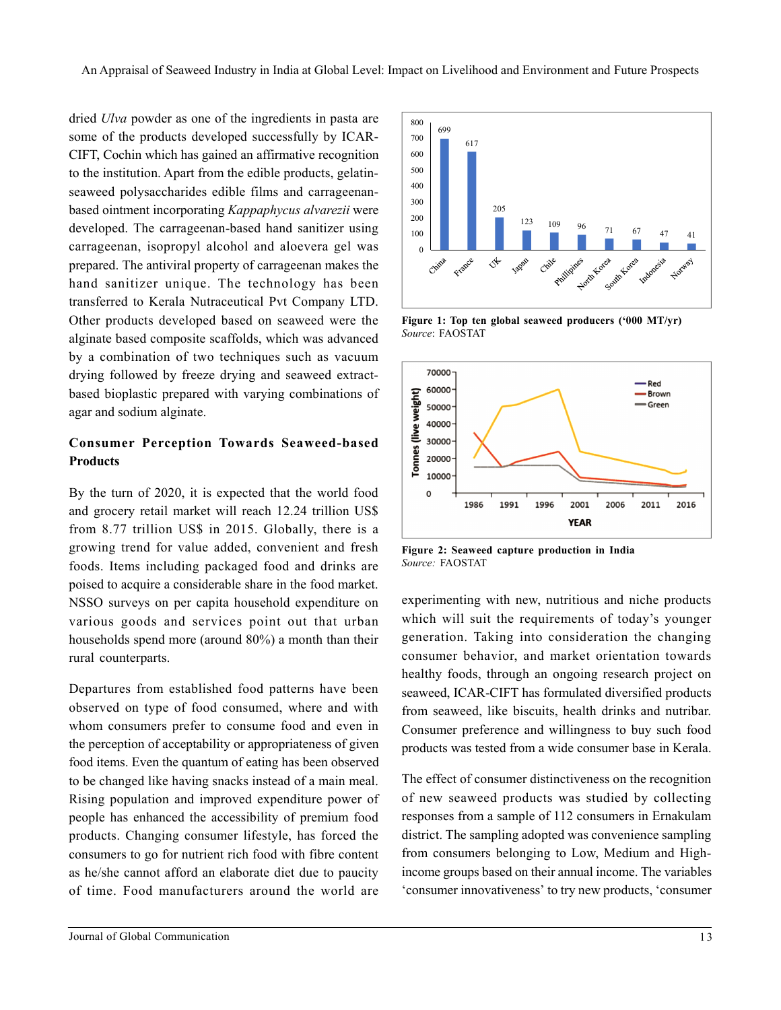dried *Ulva* powder as one of the ingredients in pasta are some of the products developed successfully by ICAR-CIFT, Cochin which has gained an affirmative recognition to the institution. Apart from the edible products, gelatinseaweed polysaccharides edible films and carrageenanbased ointment incorporating *Kappaphycus alvarezii* were developed. The carrageenan-based hand sanitizer using carrageenan, isopropyl alcohol and aloevera gel was prepared. The antiviral property of carrageenan makes the hand sanitizer unique. The technology has been transferred to Kerala Nutraceutical Pvt Company LTD. Other products developed based on seaweed were the alginate based composite scaffolds, which was advanced by a combination of two techniques such as vacuum drying followed by freeze drying and seaweed extractbased bioplastic prepared with varying combinations of agar and sodium alginate.

### **Consumer Perception Towards Seaweed-based Products**

By the turn of 2020, it is expected that the world food and grocery retail market will reach 12.24 trillion US\$ from 8.77 trillion US\$ in 2015. Globally, there is a growing trend for value added, convenient and fresh foods. Items including packaged food and drinks are poised to acquire a considerable share in the food market. NSSO surveys on per capita household expenditure on various goods and services point out that urban households spend more (around 80%) a month than their rural counterparts.

Departures from established food patterns have been observed on type of food consumed, where and with whom consumers prefer to consume food and even in the perception of acceptability or appropriateness of given food items. Even the quantum of eating has been observed to be changed like having snacks instead of a main meal. Rising population and improved expenditure power of people has enhanced the accessibility of premium food products. Changing consumer lifestyle, has forced the consumers to go for nutrient rich food with fibre content as he/she cannot afford an elaborate diet due to paucity of time. Food manufacturers around the world are



**Figure 1: Top ten global seaweed producers ('000 MT/yr)** *Source*: FAOSTAT



**Figure 2: Seaweed capture production in India** *Source:* FAOSTAT

experimenting with new, nutritious and niche products which will suit the requirements of today's younger generation. Taking into consideration the changing consumer behavior, and market orientation towards healthy foods, through an ongoing research project on seaweed, ICAR-CIFT has formulated diversified products from seaweed, like biscuits, health drinks and nutribar. Consumer preference and willingness to buy such food products was tested from a wide consumer base in Kerala.

The effect of consumer distinctiveness on the recognition of new seaweed products was studied by collecting responses from a sample of 112 consumers in Ernakulam district. The sampling adopted was convenience sampling from consumers belonging to Low, Medium and Highincome groups based on their annual income. The variables 'consumer innovativeness' to try new products, 'consumer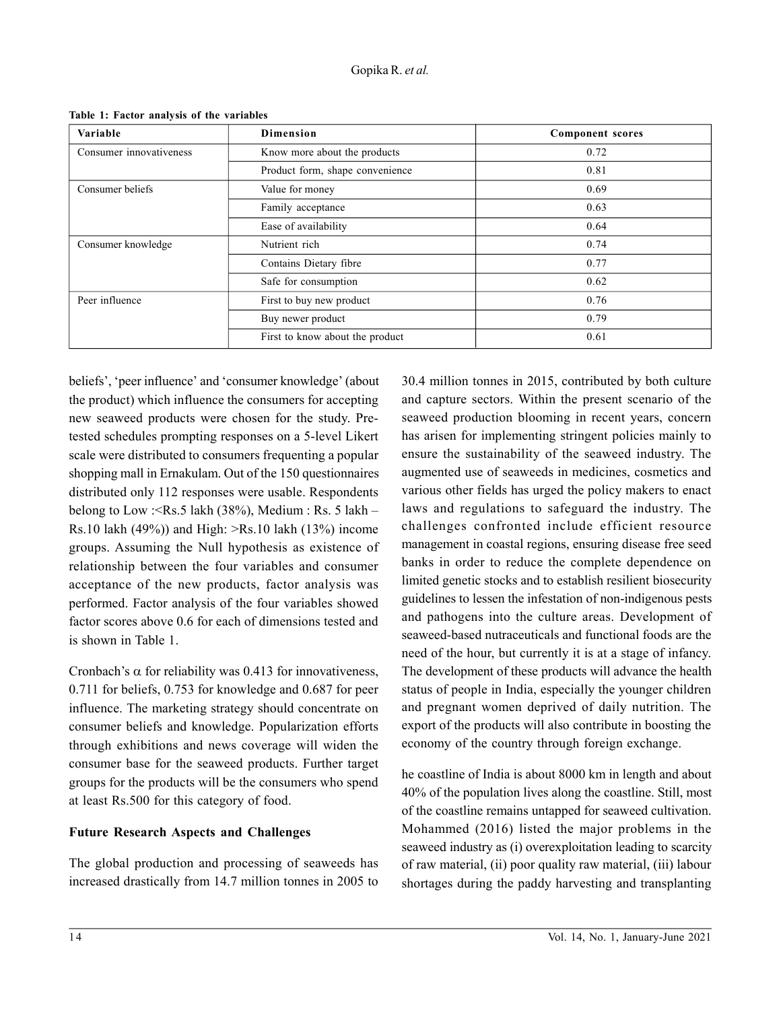| Variable                | <b>Dimension</b>                | <b>Component scores</b> |
|-------------------------|---------------------------------|-------------------------|
| Consumer innovativeness | Know more about the products    | 0.72                    |
|                         | Product form, shape convenience | 0.81                    |
| Consumer beliefs        | Value for money                 | 0.69                    |
|                         | Family acceptance               | 0.63                    |
|                         | Ease of availability            | 0.64                    |
| Consumer knowledge      | Nutrient rich                   | 0.74                    |
|                         | Contains Dietary fibre          | 0.77                    |
|                         | Safe for consumption            | 0.62                    |
| Peer influence          | First to buy new product        | 0.76                    |
|                         | Buy newer product               | 0.79                    |
|                         | First to know about the product | 0.61                    |

**Table 1: Factor analysis of the variables**

beliefs', 'peer influence' and 'consumer knowledge' (about the product) which influence the consumers for accepting new seaweed products were chosen for the study. Pretested schedules prompting responses on a 5-level Likert scale were distributed to consumers frequenting a popular shopping mall in Ernakulam. Out of the 150 questionnaires distributed only 112 responses were usable. Respondents belong to Low : < Rs. 5 lakh  $(38\%)$ , Medium : Rs. 5 lakh – Rs.10 lakh  $(49%)$ ) and High:  $>Rs.10$  lakh  $(13%)$  income groups. Assuming the Null hypothesis as existence of relationship between the four variables and consumer acceptance of the new products, factor analysis was performed. Factor analysis of the four variables showed factor scores above 0.6 for each of dimensions tested and is shown in Table 1.

Cronbach's  $\alpha$  for reliability was 0.413 for innovativeness, 0.711 for beliefs, 0.753 for knowledge and 0.687 for peer influence. The marketing strategy should concentrate on consumer beliefs and knowledge. Popularization efforts through exhibitions and news coverage will widen the consumer base for the seaweed products. Further target groups for the products will be the consumers who spend at least Rs.500 for this category of food.

## **Future Research Aspects and Challenges**

The global production and processing of seaweeds has increased drastically from 14.7 million tonnes in 2005 to 30.4 million tonnes in 2015, contributed by both culture and capture sectors. Within the present scenario of the seaweed production blooming in recent years, concern has arisen for implementing stringent policies mainly to ensure the sustainability of the seaweed industry. The augmented use of seaweeds in medicines, cosmetics and various other fields has urged the policy makers to enact laws and regulations to safeguard the industry. The challenges confronted include efficient resource management in coastal regions, ensuring disease free seed banks in order to reduce the complete dependence on limited genetic stocks and to establish resilient biosecurity guidelines to lessen the infestation of non-indigenous pests and pathogens into the culture areas. Development of seaweed-based nutraceuticals and functional foods are the need of the hour, but currently it is at a stage of infancy. The development of these products will advance the health status of people in India, especially the younger children and pregnant women deprived of daily nutrition. The export of the products will also contribute in boosting the economy of the country through foreign exchange.

he coastline of India is about 8000 km in length and about 40% of the population lives along the coastline. Still, most of the coastline remains untapped for seaweed cultivation. Mohammed (2016) listed the major problems in the seaweed industry as (i) overexploitation leading to scarcity of raw material, (ii) poor quality raw material, (iii) labour shortages during the paddy harvesting and transplanting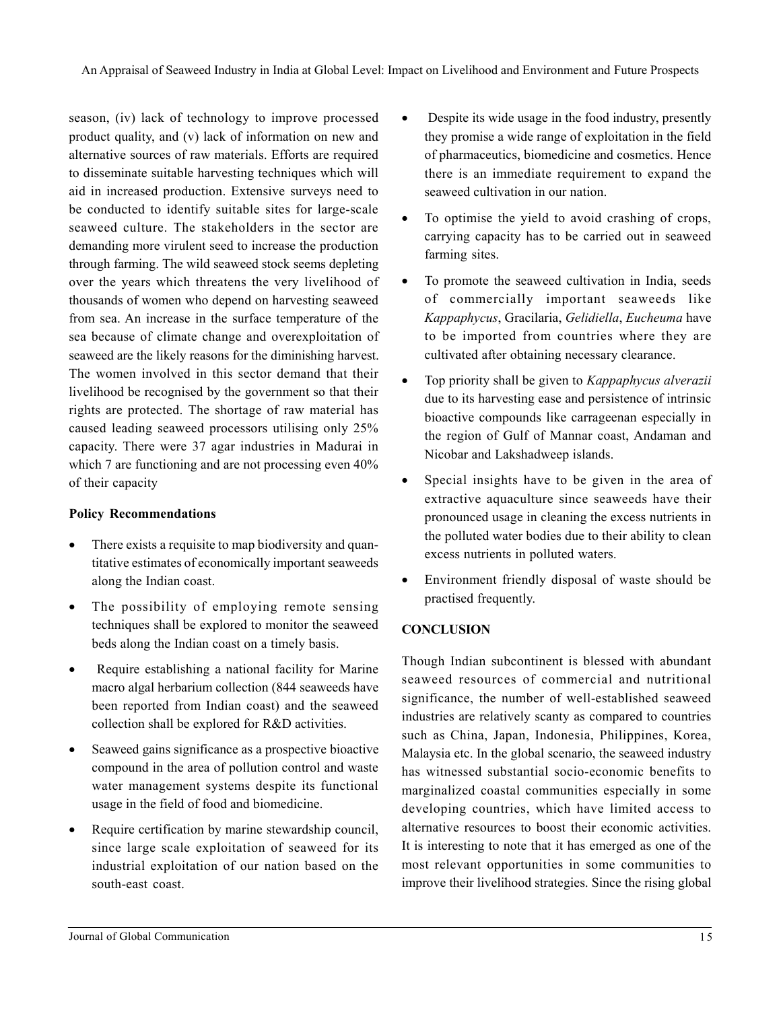season, (iv) lack of technology to improve processed product quality, and (v) lack of information on new and alternative sources of raw materials. Efforts are required to disseminate suitable harvesting techniques which will aid in increased production. Extensive surveys need to be conducted to identify suitable sites for large-scale seaweed culture. The stakeholders in the sector are demanding more virulent seed to increase the production through farming. The wild seaweed stock seems depleting over the years which threatens the very livelihood of thousands of women who depend on harvesting seaweed from sea. An increase in the surface temperature of the sea because of climate change and overexploitation of seaweed are the likely reasons for the diminishing harvest. The women involved in this sector demand that their livelihood be recognised by the government so that their rights are protected. The shortage of raw material has caused leading seaweed processors utilising only 25% capacity. There were 37 agar industries in Madurai in which 7 are functioning and are not processing even  $40\%$ of their capacity

## **Policy Recommendations**

- There exists a requisite to map biodiversity and quantitative estimates of economically important seaweeds along the Indian coast.
- The possibility of employing remote sensing techniques shall be explored to monitor the seaweed beds along the Indian coast on a timely basis.
- Require establishing a national facility for Marine macro algal herbarium collection (844 seaweeds have been reported from Indian coast) and the seaweed collection shall be explored for R&D activities.
- Seaweed gains significance as a prospective bioactive compound in the area of pollution control and waste water management systems despite its functional usage in the field of food and biomedicine.
- Require certification by marine stewardship council, since large scale exploitation of seaweed for its industrial exploitation of our nation based on the south-east coast.
- Despite its wide usage in the food industry, presently they promise a wide range of exploitation in the field of pharmaceutics, biomedicine and cosmetics. Hence there is an immediate requirement to expand the seaweed cultivation in our nation.
- To optimise the yield to avoid crashing of crops, carrying capacity has to be carried out in seaweed farming sites.
- To promote the seaweed cultivation in India, seeds of commercially important seaweeds like *Kappaphycus*, Gracilaria, *Gelidiella*, *Eucheuma* have to be imported from countries where they are cultivated after obtaining necessary clearance.
- Top priority shall be given to *Kappaphycus alverazii* due to its harvesting ease and persistence of intrinsic bioactive compounds like carrageenan especially in the region of Gulf of Mannar coast, Andaman and Nicobar and Lakshadweep islands.
- Special insights have to be given in the area of extractive aquaculture since seaweeds have their pronounced usage in cleaning the excess nutrients in the polluted water bodies due to their ability to clean excess nutrients in polluted waters.
- Environment friendly disposal of waste should be practised frequently.

## **CONCLUSION**

Though Indian subcontinent is blessed with abundant seaweed resources of commercial and nutritional significance, the number of well-established seaweed industries are relatively scanty as compared to countries such as China, Japan, Indonesia, Philippines, Korea, Malaysia etc. In the global scenario, the seaweed industry has witnessed substantial socio-economic benefits to marginalized coastal communities especially in some developing countries, which have limited access to alternative resources to boost their economic activities. It is interesting to note that it has emerged as one of the most relevant opportunities in some communities to improve their livelihood strategies. Since the rising global